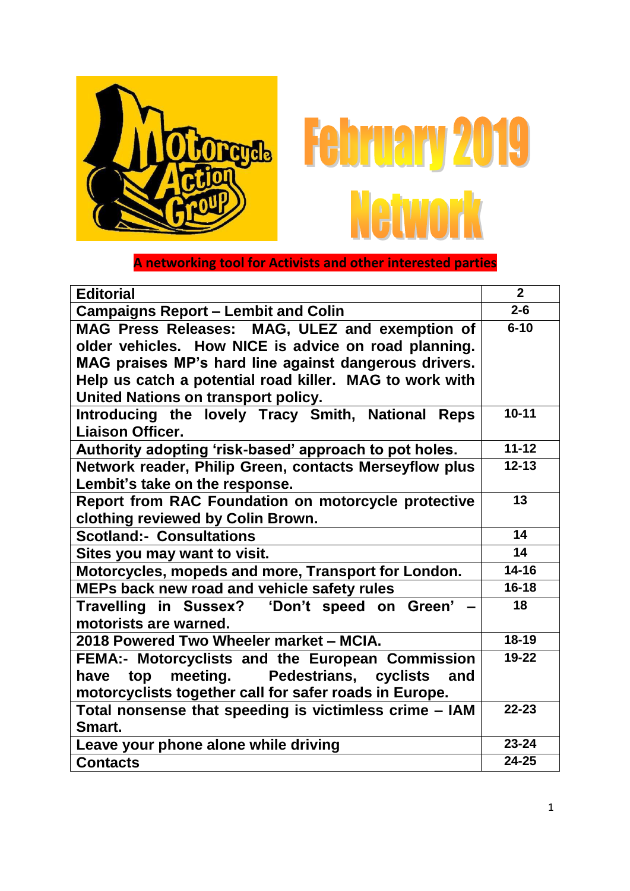

# **February 2019** etwork

**A networking tool for Activists and other interested parties**

| <b>Editorial</b>                                                                       | $\overline{2}$ |
|----------------------------------------------------------------------------------------|----------------|
| <b>Campaigns Report - Lembit and Colin</b>                                             | $2 - 6$        |
| MAG Press Releases: MAG, ULEZ and exemption of                                         | $6 - 10$       |
| older vehicles. How NICE is advice on road planning.                                   |                |
| MAG praises MP's hard line against dangerous drivers.                                  |                |
| Help us catch a potential road killer. MAG to work with                                |                |
| United Nations on transport policy.                                                    |                |
| Introducing the lovely Tracy Smith, National<br><b>Reps</b><br><b>Liaison Officer.</b> | $10 - 11$      |
| Authority adopting 'risk-based' approach to pot holes.                                 | $11 - 12$      |
| Network reader, Philip Green, contacts Merseyflow plus                                 | $12 - 13$      |
| Lembit's take on the response.                                                         |                |
| Report from RAC Foundation on motorcycle protective                                    | 13             |
| clothing reviewed by Colin Brown.                                                      |                |
| <b>Scotland:- Consultations</b>                                                        | 14             |
| Sites you may want to visit.                                                           | 14             |
| Motorcycles, mopeds and more, Transport for London.                                    | $14 - 16$      |
| MEPs back new road and vehicle safety rules                                            | $16 - 18$      |
| Travelling in Sussex? 'Don't speed on Green'                                           | 18             |
| motorists are warned.                                                                  |                |
| 2018 Powered Two Wheeler market - MCIA.                                                | $18 - 19$      |
| FEMA:- Motorcyclists and the European Commission                                       | $19 - 22$      |
|                                                                                        |                |
| meeting. Pedestrians, cyclists<br>top<br>have<br>and                                   |                |
| motorcyclists together call for safer roads in Europe.                                 |                |
| Total nonsense that speeding is victimless crime - IAM                                 | $22 - 23$      |
| Smart.                                                                                 |                |
| Leave your phone alone while driving                                                   | $23 - 24$      |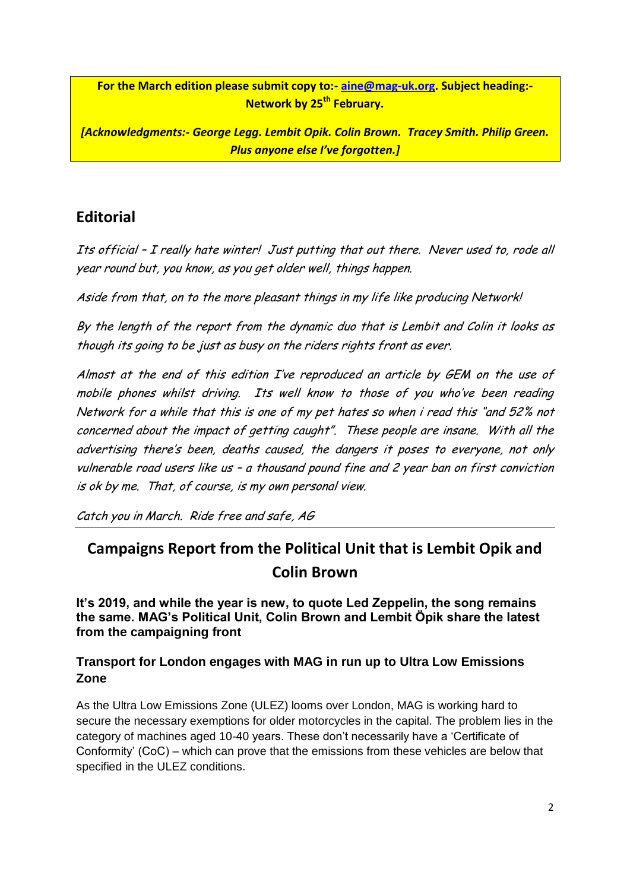**For the March edition please submit copy to:- [aine@mag-uk.org.](mailto:aine@mag-uk.org) Subject heading:- Network by 25th February.**

*[Acknowledgments:- George Legg. Lembit Opik. Colin Brown. Tracey Smith. Philip Green. Plus anyone else I've forgotten.]*

## **Editorial**

Its official – I really hate winter! Just putting that out there. Never used to, rode all year round but, you know, as you get older well, things happen.

Aside from that, on to the more pleasant things in my life like producing Network!

By the length of the report from the dynamic duo that is Lembit and Colin it looks as though its going to be just as busy on the riders rights front as ever.

Almost at the end of this edition I've reproduced an article by GEM on the use of mobile phones whilst driving. Its well know to those of you who've been reading Network for a while that this is one of my pet hates so when i read this "and 52% not concerned about the impact of getting caught". These people are insane. With all the advertising there's been, deaths caused, the dangers it poses to everyone, not only vulnerable road users like us – a thousand pound fine and 2 year ban on first conviction is ok by me. That, of course, is my own personal view.

Catch you in March. Ride free and safe, AG

# **Campaigns Report from the Political Unit that is Lembit Opik and Colin Brown**

**It's 2019, and while the year is new, to quote Led Zeppelin, the song remains the same. MAG's Political Unit, Colin Brown and Lembit Öpik share the latest from the campaigning front**

## **Transport for London engages with MAG in run up to Ultra Low Emissions Zone**

As the Ultra Low Emissions Zone (ULEZ) looms over London, MAG is working hard to secure the necessary exemptions for older motorcycles in the capital. The problem lies in the category of machines aged 10-40 years. These don"t necessarily have a "Certificate of Conformity" (CoC) – which can prove that the emissions from these vehicles are below that specified in the ULEZ conditions.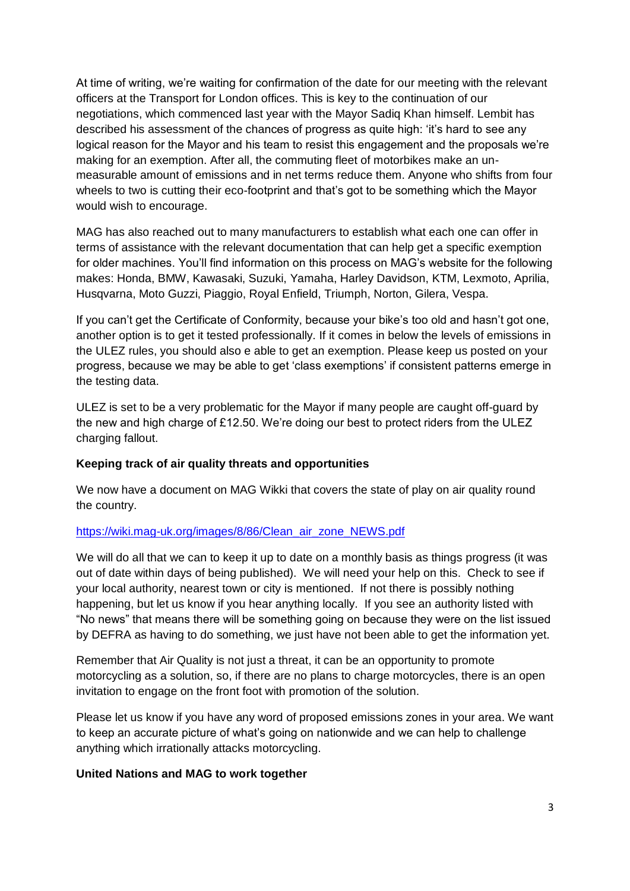At time of writing, we"re waiting for confirmation of the date for our meeting with the relevant officers at the Transport for London offices. This is key to the continuation of our negotiations, which commenced last year with the Mayor Sadiq Khan himself. Lembit has described his assessment of the chances of progress as quite high: "it"s hard to see any logical reason for the Mayor and his team to resist this engagement and the proposals we"re making for an exemption. After all, the commuting fleet of motorbikes make an unmeasurable amount of emissions and in net terms reduce them. Anyone who shifts from four wheels to two is cutting their eco-footprint and that's got to be something which the Mayor would wish to encourage.

MAG has also reached out to many manufacturers to establish what each one can offer in terms of assistance with the relevant documentation that can help get a specific exemption for older machines. You'll find information on this process on MAG's website for the following makes: Honda, BMW, Kawasaki, Suzuki, Yamaha, Harley Davidson, KTM, Lexmoto, Aprilia, Husqvarna, Moto Guzzi, Piaggio, Royal Enfield, Triumph, Norton, Gilera, Vespa.

If you can"t get the Certificate of Conformity, because your bike"s too old and hasn"t got one, another option is to get it tested professionally. If it comes in below the levels of emissions in the ULEZ rules, you should also e able to get an exemption. Please keep us posted on your progress, because we may be able to get "class exemptions" if consistent patterns emerge in the testing data.

ULEZ is set to be a very problematic for the Mayor if many people are caught off-guard by the new and high charge of £12.50. We"re doing our best to protect riders from the ULEZ charging fallout.

#### **Keeping track of air quality threats and opportunities**

We now have a document on MAG Wikki that covers the state of play on air quality round the country.

#### [https://wiki.mag-uk.org/images/8/86/Clean\\_air\\_zone\\_NEWS.pdf](https://wiki.mag-uk.org/images/8/86/Clean_air_zone_NEWS.pdf)

We will do all that we can to keep it up to date on a monthly basis as things progress (it was out of date within days of being published). We will need your help on this. Check to see if your local authority, nearest town or city is mentioned. If not there is possibly nothing happening, but let us know if you hear anything locally. If you see an authority listed with "No news" that means there will be something going on because they were on the list issued by DEFRA as having to do something, we just have not been able to get the information yet.

Remember that Air Quality is not just a threat, it can be an opportunity to promote motorcycling as a solution, so, if there are no plans to charge motorcycles, there is an open invitation to engage on the front foot with promotion of the solution.

Please let us know if you have any word of proposed emissions zones in your area. We want to keep an accurate picture of what"s going on nationwide and we can help to challenge anything which irrationally attacks motorcycling.

#### **United Nations and MAG to work together**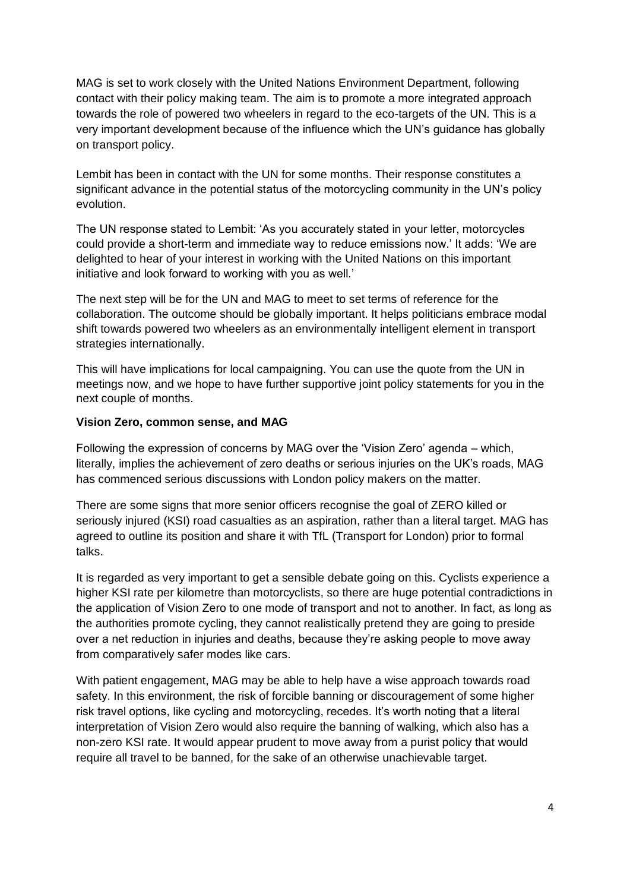MAG is set to work closely with the United Nations Environment Department, following contact with their policy making team. The aim is to promote a more integrated approach towards the role of powered two wheelers in regard to the eco-targets of the UN. This is a very important development because of the influence which the UN"s guidance has globally on transport policy.

Lembit has been in contact with the UN for some months. Their response constitutes a significant advance in the potential status of the motorcycling community in the UN"s policy evolution.

The UN response stated to Lembit: "As you accurately stated in your letter, motorcycles could provide a short-term and immediate way to reduce emissions now." It adds: "We are delighted to hear of your interest in working with the United Nations on this important initiative and look forward to working with you as well."

The next step will be for the UN and MAG to meet to set terms of reference for the collaboration. The outcome should be globally important. It helps politicians embrace modal shift towards powered two wheelers as an environmentally intelligent element in transport strategies internationally.

This will have implications for local campaigning. You can use the quote from the UN in meetings now, and we hope to have further supportive joint policy statements for you in the next couple of months.

#### **Vision Zero, common sense, and MAG**

Following the expression of concerns by MAG over the "Vision Zero" agenda – which, literally, implies the achievement of zero deaths or serious injuries on the UK"s roads, MAG has commenced serious discussions with London policy makers on the matter.

There are some signs that more senior officers recognise the goal of ZERO killed or seriously injured (KSI) road casualties as an aspiration, rather than a literal target. MAG has agreed to outline its position and share it with TfL (Transport for London) prior to formal talks.

It is regarded as very important to get a sensible debate going on this. Cyclists experience a higher KSI rate per kilometre than motorcyclists, so there are huge potential contradictions in the application of Vision Zero to one mode of transport and not to another. In fact, as long as the authorities promote cycling, they cannot realistically pretend they are going to preside over a net reduction in injuries and deaths, because they"re asking people to move away from comparatively safer modes like cars.

With patient engagement, MAG may be able to help have a wise approach towards road safety. In this environment, the risk of forcible banning or discouragement of some higher risk travel options, like cycling and motorcycling, recedes. It's worth noting that a literal interpretation of Vision Zero would also require the banning of walking, which also has a non-zero KSI rate. It would appear prudent to move away from a purist policy that would require all travel to be banned, for the sake of an otherwise unachievable target.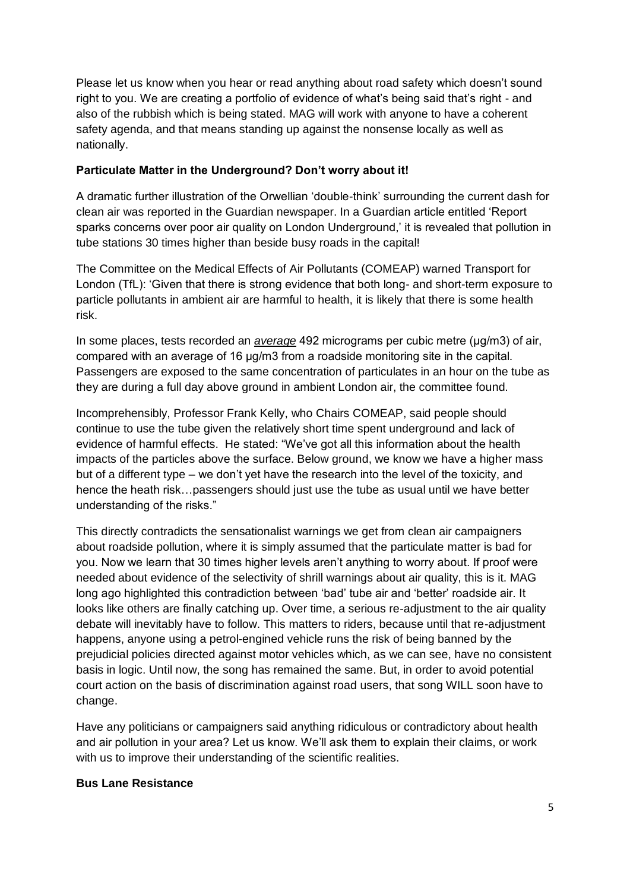Please let us know when you hear or read anything about road safety which doesn"t sound right to you. We are creating a portfolio of evidence of what"s being said that"s right - and also of the rubbish which is being stated. MAG will work with anyone to have a coherent safety agenda, and that means standing up against the nonsense locally as well as nationally.

#### **Particulate Matter in the Underground? Don't worry about it!**

A dramatic further illustration of the Orwellian "double-think" surrounding the current dash for clean air was reported in the Guardian newspaper. In a Guardian article entitled "Report sparks concerns over poor air quality on London Underground,' it is revealed that pollution in tube stations 30 times higher than beside busy roads in the capital!

The Committee on the Medical Effects of Air Pollutants (COMEAP) warned Transport for London (TfL): "Given that there is strong evidence that both long- and short-term exposure to particle pollutants in ambient air are harmful to health, it is likely that there is some health risk.

In some places, tests recorded an *average* 492 micrograms per cubic metre (μg/m3) of air, compared with an average of 16 μg/m3 from a roadside monitoring site in the capital. Passengers are exposed to the same concentration of particulates in an hour on the tube as they are during a full day above ground in ambient London air, the committee found.

Incomprehensibly, Professor Frank Kelly, who Chairs COMEAP, said people should continue to use the tube given the relatively short time spent underground and lack of evidence of harmful effects. He stated: "We"ve got all this information about the health impacts of the particles above the surface. Below ground, we know we have a higher mass but of a different type – we don"t yet have the research into the level of the toxicity, and hence the heath risk... passengers should just use the tube as usual until we have better understanding of the risks."

This directly contradicts the sensationalist warnings we get from clean air campaigners about roadside pollution, where it is simply assumed that the particulate matter is bad for you. Now we learn that 30 times higher levels aren"t anything to worry about. If proof were needed about evidence of the selectivity of shrill warnings about air quality, this is it. MAG long ago highlighted this contradiction between "bad" tube air and "better" roadside air. It looks like others are finally catching up. Over time, a serious re-adjustment to the air quality debate will inevitably have to follow. This matters to riders, because until that re-adjustment happens, anyone using a petrol-engined vehicle runs the risk of being banned by the prejudicial policies directed against motor vehicles which, as we can see, have no consistent basis in logic. Until now, the song has remained the same. But, in order to avoid potential court action on the basis of discrimination against road users, that song WILL soon have to change.

Have any politicians or campaigners said anything ridiculous or contradictory about health and air pollution in your area? Let us know. We"ll ask them to explain their claims, or work with us to improve their understanding of the scientific realities.

#### **Bus Lane Resistance**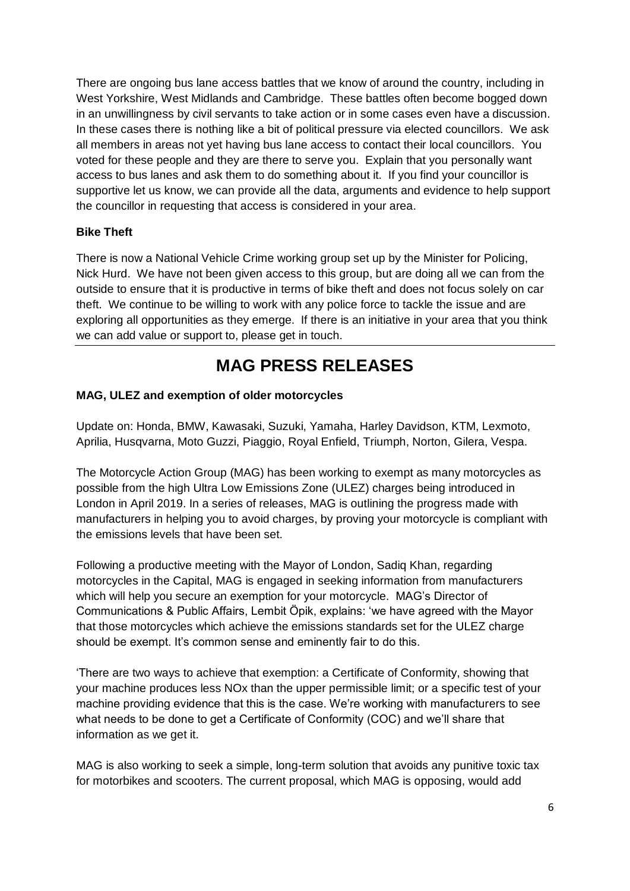There are ongoing bus lane access battles that we know of around the country, including in West Yorkshire, West Midlands and Cambridge. These battles often become bogged down in an unwillingness by civil servants to take action or in some cases even have a discussion. In these cases there is nothing like a bit of political pressure via elected councillors. We ask all members in areas not yet having bus lane access to contact their local councillors. You voted for these people and they are there to serve you. Explain that you personally want access to bus lanes and ask them to do something about it. If you find your councillor is supportive let us know, we can provide all the data, arguments and evidence to help support the councillor in requesting that access is considered in your area.

#### **Bike Theft**

There is now a National Vehicle Crime working group set up by the Minister for Policing, Nick Hurd. We have not been given access to this group, but are doing all we can from the outside to ensure that it is productive in terms of bike theft and does not focus solely on car theft. We continue to be willing to work with any police force to tackle the issue and are exploring all opportunities as they emerge. If there is an initiative in your area that you think we can add value or support to, please get in touch.

## **MAG PRESS RELEASES**

#### **MAG, ULEZ and exemption of older motorcycles**

Update on: Honda, BMW, Kawasaki, Suzuki, Yamaha, Harley Davidson, KTM, Lexmoto, Aprilia, Husqvarna, Moto Guzzi, Piaggio, Royal Enfield, Triumph, Norton, Gilera, Vespa.

The Motorcycle Action Group (MAG) has been working to exempt as many motorcycles as possible from the high Ultra Low Emissions Zone (ULEZ) charges being introduced in London in April 2019. In a series of releases, MAG is outlining the progress made with manufacturers in helping you to avoid charges, by proving your motorcycle is compliant with the emissions levels that have been set.

Following a productive meeting with the Mayor of London, Sadiq Khan, regarding motorcycles in the Capital, MAG is engaged in seeking information from manufacturers which will help you secure an exemption for your motorcycle. MAG"s Director of Communications & Public Affairs, Lembit Öpik, explains: "we have agreed with the Mayor that those motorcycles which achieve the emissions standards set for the ULEZ charge should be exempt. It's common sense and eminently fair to do this.

"There are two ways to achieve that exemption: a Certificate of Conformity, showing that your machine produces less NOx than the upper permissible limit; or a specific test of your machine providing evidence that this is the case. We"re working with manufacturers to see what needs to be done to get a Certificate of Conformity (COC) and we"ll share that information as we get it.

MAG is also working to seek a simple, long-term solution that avoids any punitive toxic tax for motorbikes and scooters. The current proposal, which MAG is opposing, would add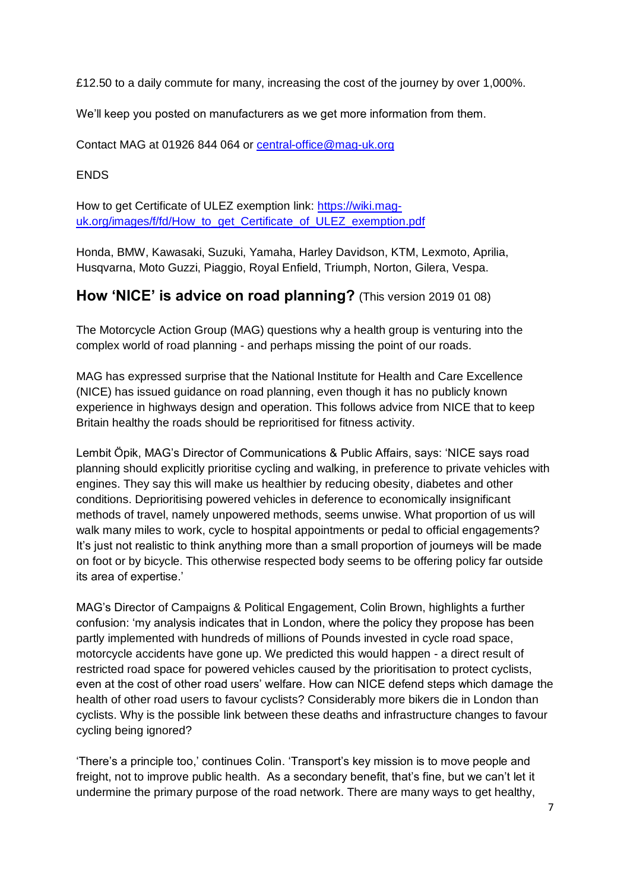£12.50 to a daily commute for many, increasing the cost of the journey by over 1,000%.

We"ll keep you posted on manufacturers as we get more information from them.

Contact MAG at 01926 844 064 or [central-office@mag-uk.org](mailto:central-office@mag-uk.org)

ENDS

How to get Certificate of ULEZ exemption link: [https://wiki.mag](https://wiki.mag-uk.org/images/f/fd/How_to_get_Certificate_of_ULEZ_exemption.pdf)uk.org/images/f/fd/How to get Certificate of ULEZ exemption.pdf

Honda, BMW, Kawasaki, Suzuki, Yamaha, Harley Davidson, KTM, Lexmoto, Aprilia, Husqvarna, Moto Guzzi, Piaggio, Royal Enfield, Triumph, Norton, Gilera, Vespa.

#### **How 'NICE' is advice on road planning?** (This version 2019 01 08)

The Motorcycle Action Group (MAG) questions why a health group is venturing into the complex world of road planning - and perhaps missing the point of our roads.

MAG has expressed surprise that the National Institute for Health and Care Excellence (NICE) has issued guidance on road planning, even though it has no publicly known experience in highways design and operation. This follows advice from NICE that to keep Britain healthy the roads should be reprioritised for fitness activity.

Lembit Öpik, MAG"s Director of Communications & Public Affairs, says: "NICE says road planning should explicitly prioritise cycling and walking, in preference to private vehicles with engines. They say this will make us healthier by reducing obesity, diabetes and other conditions. Deprioritising powered vehicles in deference to economically insignificant methods of travel, namely unpowered methods, seems unwise. What proportion of us will walk many miles to work, cycle to hospital appointments or pedal to official engagements? It's just not realistic to think anything more than a small proportion of journeys will be made on foot or by bicycle. This otherwise respected body seems to be offering policy far outside its area of expertise."

MAG"s Director of Campaigns & Political Engagement, Colin Brown, highlights a further confusion: "my analysis indicates that in London, where the policy they propose has been partly implemented with hundreds of millions of Pounds invested in cycle road space, motorcycle accidents have gone up. We predicted this would happen - a direct result of restricted road space for powered vehicles caused by the prioritisation to protect cyclists, even at the cost of other road users" welfare. How can NICE defend steps which damage the health of other road users to favour cyclists? Considerably more bikers die in London than cyclists. Why is the possible link between these deaths and infrastructure changes to favour cycling being ignored?

"There"s a principle too," continues Colin. "Transport"s key mission is to move people and freight, not to improve public health. As a secondary benefit, that's fine, but we can't let it undermine the primary purpose of the road network. There are many ways to get healthy,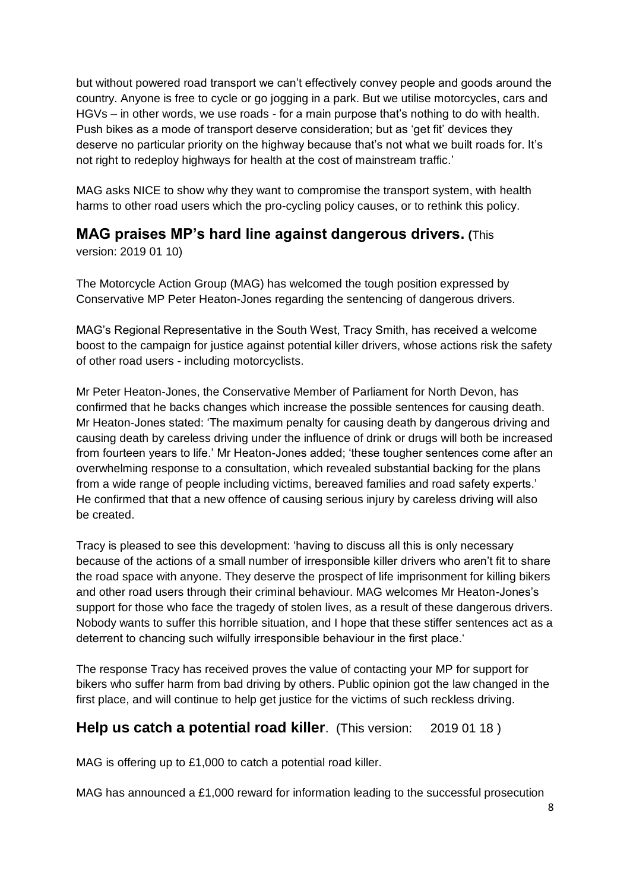but without powered road transport we can"t effectively convey people and goods around the country. Anyone is free to cycle or go jogging in a park. But we utilise motorcycles, cars and HGVs – in other words, we use roads - for a main purpose that"s nothing to do with health. Push bikes as a mode of transport deserve consideration; but as "get fit" devices they deserve no particular priority on the highway because that's not what we built roads for. It's not right to redeploy highways for health at the cost of mainstream traffic."

MAG asks NICE to show why they want to compromise the transport system, with health harms to other road users which the pro-cycling policy causes, or to rethink this policy.

## **MAG praises MP's hard line against dangerous drivers. (**This

version: 2019 01 10)

The Motorcycle Action Group (MAG) has welcomed the tough position expressed by Conservative MP Peter Heaton-Jones regarding the sentencing of dangerous drivers.

MAG"s Regional Representative in the South West, Tracy Smith, has received a welcome boost to the campaign for justice against potential killer drivers, whose actions risk the safety of other road users - including motorcyclists.

Mr Peter Heaton-Jones, the Conservative Member of Parliament for North Devon, has confirmed that he backs changes which increase the possible sentences for causing death. Mr Heaton-Jones stated: "The maximum penalty for causing death by dangerous driving and causing death by careless driving under the influence of drink or drugs will both be increased from fourteen years to life." Mr Heaton-Jones added; "these tougher sentences come after an overwhelming response to a consultation, which revealed substantial backing for the plans from a wide range of people including victims, bereaved families and road safety experts." He confirmed that that a new offence of causing serious injury by careless driving will also be created.

Tracy is pleased to see this development: "having to discuss all this is only necessary because of the actions of a small number of irresponsible killer drivers who aren"t fit to share the road space with anyone. They deserve the prospect of life imprisonment for killing bikers and other road users through their criminal behaviour. MAG welcomes Mr Heaton-Jones"s support for those who face the tragedy of stolen lives, as a result of these dangerous drivers. Nobody wants to suffer this horrible situation, and I hope that these stiffer sentences act as a deterrent to chancing such wilfully irresponsible behaviour in the first place."

The response Tracy has received proves the value of contacting your MP for support for bikers who suffer harm from bad driving by others. Public opinion got the law changed in the first place, and will continue to help get justice for the victims of such reckless driving.

## **Help us catch a potential road killer**. (This version: 2019 01 18 )

MAG is offering up to £1,000 to catch a potential road killer.

MAG has announced a £1,000 reward for information leading to the successful prosecution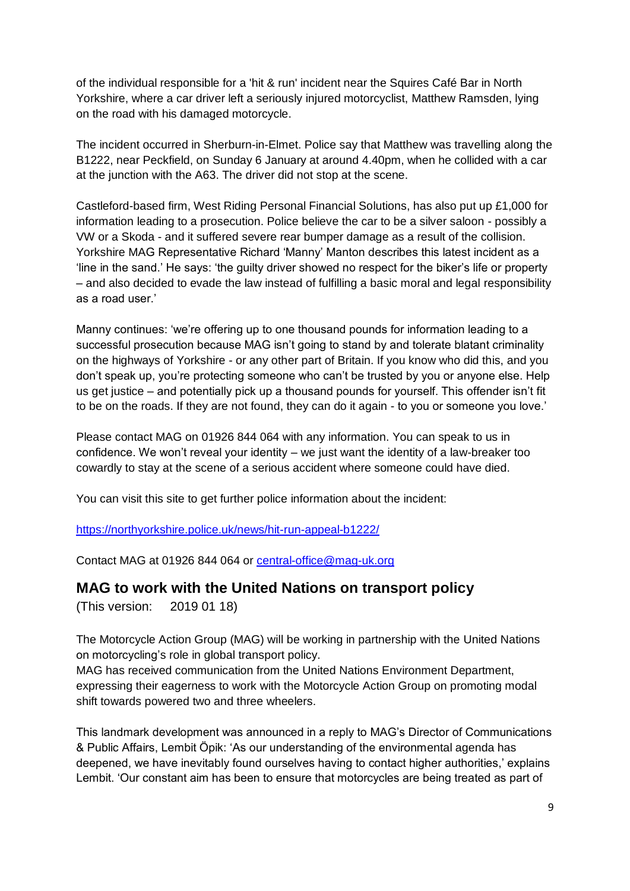of the individual responsible for a 'hit & run' incident near the Squires Café Bar in North Yorkshire, where a car driver left a seriously injured motorcyclist, Matthew Ramsden, lying on the road with his damaged motorcycle.

The incident occurred in Sherburn-in-Elmet. Police say that Matthew was travelling along the B1222, near Peckfield, on Sunday 6 January at around 4.40pm, when he collided with a car at the junction with the A63. The driver did not stop at the scene.

Castleford-based firm, West Riding Personal Financial Solutions, has also put up £1,000 for information leading to a prosecution. Police believe the car to be a silver saloon - possibly a VW or a Skoda - and it suffered severe rear bumper damage as a result of the collision. Yorkshire MAG Representative Richard "Manny" Manton describes this latest incident as a "line in the sand." He says: "the guilty driver showed no respect for the biker"s life or property – and also decided to evade the law instead of fulfilling a basic moral and legal responsibility as a road user."

Manny continues: "we"re offering up to one thousand pounds for information leading to a successful prosecution because MAG isn't going to stand by and tolerate blatant criminality on the highways of Yorkshire - or any other part of Britain. If you know who did this, and you don"t speak up, you"re protecting someone who can"t be trusted by you or anyone else. Help us get justice – and potentially pick up a thousand pounds for yourself. This offender isn"t fit to be on the roads. If they are not found, they can do it again - to you or someone you love."

Please contact MAG on 01926 844 064 with any information. You can speak to us in confidence. We won"t reveal your identity – we just want the identity of a law-breaker too cowardly to stay at the scene of a serious accident where someone could have died.

You can visit this site to get further police information about the incident:

<https://northyorkshire.police.uk/news/hit-run-appeal-b1222/>

Contact MAG at 01926 844 064 or [central-office@mag-uk.org](mailto:central-office@mag-uk.org)

## **MAG to work with the United Nations on transport policy**

(This version: 2019 01 18)

The Motorcycle Action Group (MAG) will be working in partnership with the United Nations on motorcycling"s role in global transport policy.

MAG has received communication from the United Nations Environment Department, expressing their eagerness to work with the Motorcycle Action Group on promoting modal shift towards powered two and three wheelers.

This landmark development was announced in a reply to MAG"s Director of Communications & Public Affairs, Lembit Öpik: "As our understanding of the environmental agenda has deepened, we have inevitably found ourselves having to contact higher authorities,' explains Lembit. "Our constant aim has been to ensure that motorcycles are being treated as part of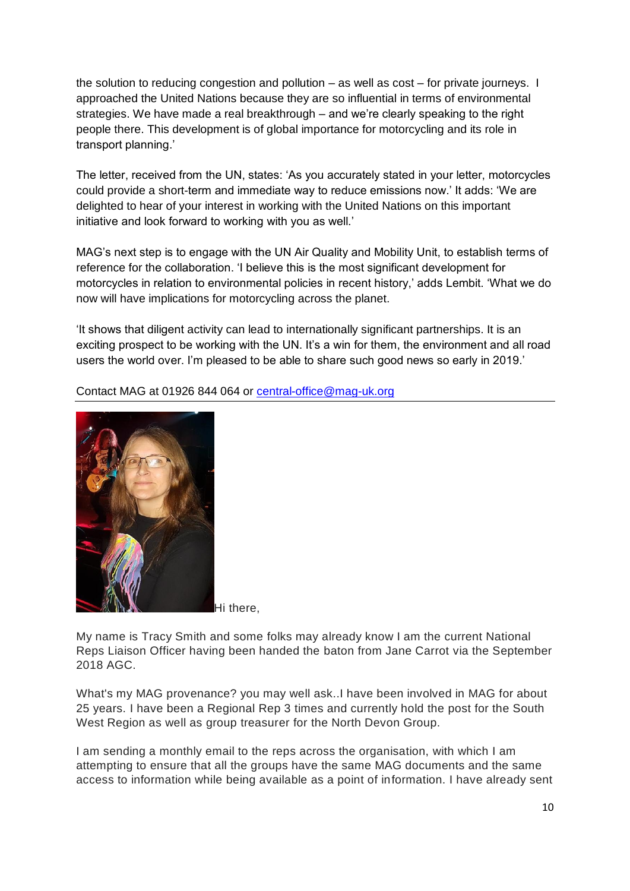the solution to reducing congestion and pollution – as well as cost – for private journeys. I approached the United Nations because they are so influential in terms of environmental strategies. We have made a real breakthrough – and we"re clearly speaking to the right people there. This development is of global importance for motorcycling and its role in transport planning."

The letter, received from the UN, states: "As you accurately stated in your letter, motorcycles could provide a short-term and immediate way to reduce emissions now." It adds: "We are delighted to hear of your interest in working with the United Nations on this important initiative and look forward to working with you as well."

MAG"s next step is to engage with the UN Air Quality and Mobility Unit, to establish terms of reference for the collaboration. "I believe this is the most significant development for motorcycles in relation to environmental policies in recent history,' adds Lembit. 'What we do now will have implications for motorcycling across the planet.

"It shows that diligent activity can lead to internationally significant partnerships. It is an exciting prospect to be working with the UN. It's a win for them, the environment and all road users the world over. I'm pleased to be able to share such good news so early in 2019.'



Contact MAG at 01926 844 064 or [central-office@mag-uk.org](mailto:central-office@mag-uk.org)

Hi there,

My name is Tracy Smith and some folks may already know I am the current National Reps Liaison Officer having been handed the baton from Jane Carrot via the September 2018 AGC.

What's my MAG provenance? you may well ask..I have been involved in MAG for about 25 years. I have been a Regional Rep 3 times and currently hold the post for the South West Region as well as group treasurer for the North Devon Group.

I am sending a monthly email to the reps across the organisation, with which I am attempting to ensure that all the groups have the same MAG documents and the same access to information while being available as a point of information. I have already sent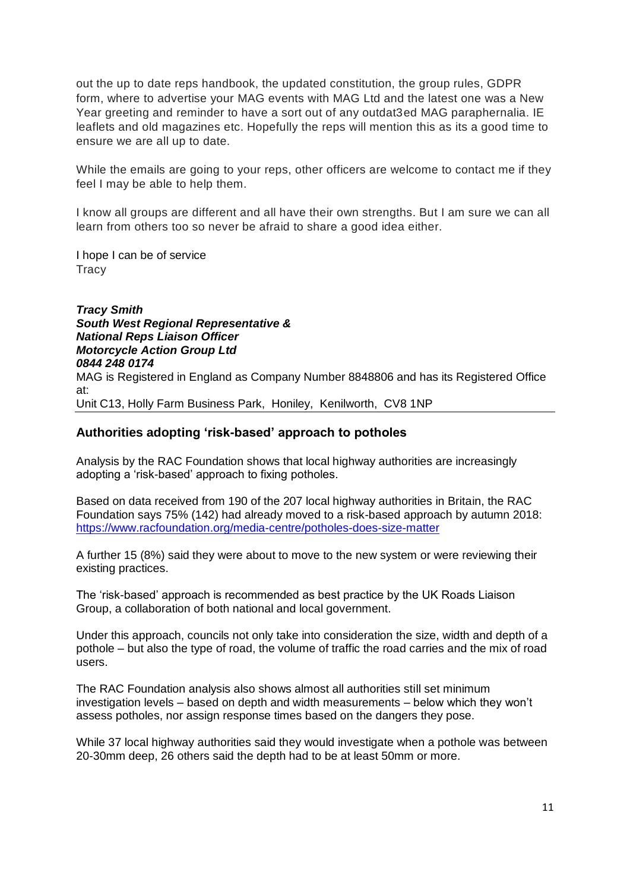out the up to date reps handbook, the updated constitution, the group rules, GDPR form, where to advertise your MAG events with MAG Ltd and the latest one was a New Year greeting and reminder to have a sort out of any outdat3ed MAG paraphernalia. IE leaflets and old magazines etc. Hopefully the reps will mention this as its a good time to ensure we are all up to date.

While the emails are going to your reps, other officers are welcome to contact me if they feel I may be able to help them.

I know all groups are different and all have their own strengths. But I am sure we can all learn from others too so never be afraid to share a good idea either.

I hope I can be of service **Tracy** 

*Tracy Smith South West Regional Representative & National Reps Liaison Officer Motorcycle Action Group Ltd 0844 248 0174* MAG is Registered in England as Company Number 8848806 and has its Registered Office at: Unit C13, Holly Farm Business Park, Honiley, Kenilworth, CV8 1NP

#### **Authorities adopting 'risk-based' approach to potholes**

Analysis by the RAC Foundation shows that local highway authorities are increasingly adopting a 'risk-based' approach to fixing potholes.

Based on data received from 190 of the 207 local highway authorities in Britain, the RAC Foundation says 75% (142) had already moved to a risk-based approach by autumn 2018: <https://www.racfoundation.org/media-centre/potholes-does-size-matter>

A further 15 (8%) said they were about to move to the new system or were reviewing their existing practices.

The "risk-based" approach is recommended as best practice by the UK Roads Liaison Group, a collaboration of both national and local government.

Under this approach, councils not only take into consideration the size, width and depth of a pothole – but also the type of road, the volume of traffic the road carries and the mix of road users.

The RAC Foundation analysis also shows almost all authorities still set minimum investigation levels – based on depth and width measurements – below which they won"t assess potholes, nor assign response times based on the dangers they pose.

While 37 local highway authorities said they would investigate when a pothole was between 20-30mm deep, 26 others said the depth had to be at least 50mm or more.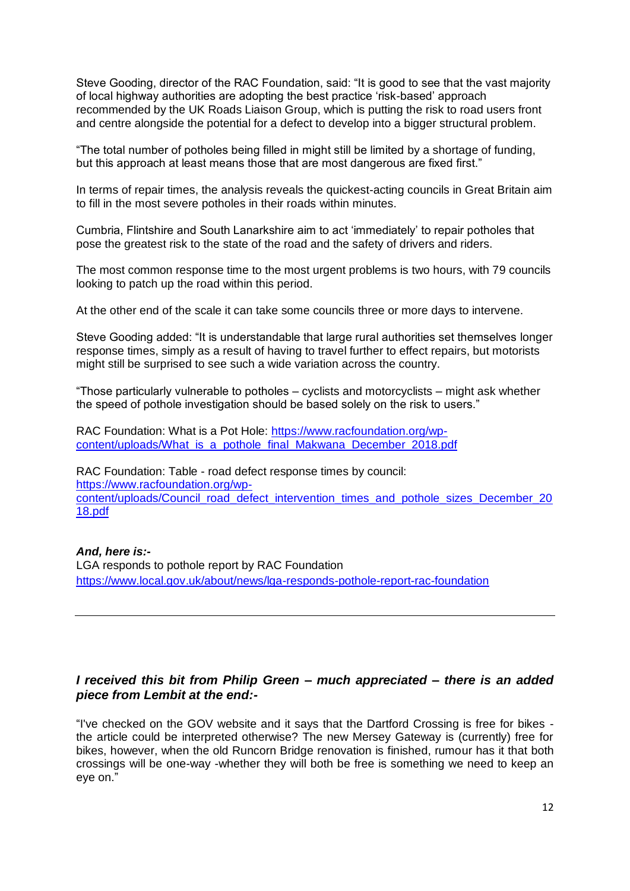Steve Gooding, director of the RAC Foundation, said: "It is good to see that the vast majority of local highway authorities are adopting the best practice "risk-based" approach recommended by the UK Roads Liaison Group, which is putting the risk to road users front and centre alongside the potential for a defect to develop into a bigger structural problem.

"The total number of potholes being filled in might still be limited by a shortage of funding, but this approach at least means those that are most dangerous are fixed first."

In terms of repair times, the analysis reveals the quickest-acting councils in Great Britain aim to fill in the most severe potholes in their roads within minutes.

Cumbria, Flintshire and South Lanarkshire aim to act "immediately" to repair potholes that pose the greatest risk to the state of the road and the safety of drivers and riders.

The most common response time to the most urgent problems is two hours, with 79 councils looking to patch up the road within this period.

At the other end of the scale it can take some councils three or more days to intervene.

Steve Gooding added: "It is understandable that large rural authorities set themselves longer response times, simply as a result of having to travel further to effect repairs, but motorists might still be surprised to see such a wide variation across the country.

"Those particularly vulnerable to potholes – cyclists and motorcyclists – might ask whether the speed of pothole investigation should be based solely on the risk to users."

RAC Foundation: What is a Pot Hole: [https://www.racfoundation.org/wp](https://www.racfoundation.org/wp-content/uploads/What_is_a_pothole_final_Makwana_December_2018.pdf)[content/uploads/What\\_is\\_a\\_pothole\\_final\\_Makwana\\_December\\_2018.pdf](https://www.racfoundation.org/wp-content/uploads/What_is_a_pothole_final_Makwana_December_2018.pdf)

RAC Foundation: Table - road defect response times by council: [https://www.racfoundation.org/wp](https://www.racfoundation.org/wp-content/uploads/Council_road_defect_intervention_times_and_pothole_sizes_December_2018.pdf)[content/uploads/Council\\_road\\_defect\\_intervention\\_times\\_and\\_pothole\\_sizes\\_December\\_20](https://www.racfoundation.org/wp-content/uploads/Council_road_defect_intervention_times_and_pothole_sizes_December_2018.pdf) [18.pdf](https://www.racfoundation.org/wp-content/uploads/Council_road_defect_intervention_times_and_pothole_sizes_December_2018.pdf)

#### *And, here is:-*

LGA responds to pothole report by RAC Foundation <https://www.local.gov.uk/about/news/lga-responds-pothole-report-rac-foundation>

#### *I received this bit from Philip Green – much appreciated – there is an added piece from Lembit at the end:-*

"I've checked on the GOV website and it says that the Dartford Crossing is free for bikes the article could be interpreted otherwise? The new Mersey Gateway is (currently) free for bikes, however, when the old Runcorn Bridge renovation is finished, rumour has it that both crossings will be one-way -whether they will both be free is something we need to keep an eye on."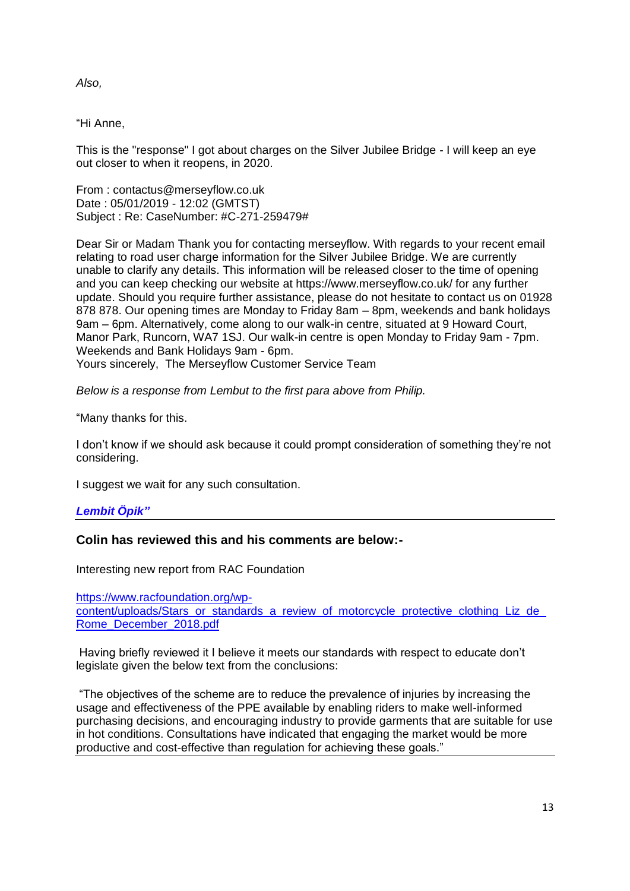*Also,*

#### "Hi Anne,

This is the "response" I got about charges on the Silver Jubilee Bridge - I will keep an eye out closer to when it reopens, in 2020.

From : contactus@merseyflow.co.uk Date : 05/01/2019 - 12:02 (GMTST) Subject : Re: CaseNumber: #C-271-259479#

Dear Sir or Madam Thank you for contacting merseyflow. With regards to your recent email relating to road user charge information for the Silver Jubilee Bridge. We are currently unable to clarify any details. This information will be released closer to the time of opening and you can keep checking our website at https://www.merseyflow.co.uk/ for any further update. Should you require further assistance, please do not hesitate to contact us on 01928 878 878. Our opening times are Monday to Friday 8am – 8pm, weekends and bank holidays 9am – 6pm. Alternatively, come along to our walk-in centre, situated at 9 Howard Court, Manor Park, Runcorn, WA7 1SJ. Our walk-in centre is open Monday to Friday 9am - 7pm. Weekends and Bank Holidays 9am - 6pm.

Yours sincerely, The Merseyflow Customer Service Team

*Below is a response from Lembut to the first para above from Philip.*

"Many thanks for this.

I don"t know if we should ask because it could prompt consideration of something they"re not considering.

I suggest we wait for any such consultation.

#### *Lembit Öpik"*

#### **Colin has reviewed this and his comments are below:-**

Interesting new report from RAC Foundation

[https://www.racfoundation.org/wp](https://www.racfoundation.org/wp-content/uploads/Stars_or_standards_a_review_of_motorcycle_protective_clothing_Liz_de_Rome_December_2018.pdf)[content/uploads/Stars\\_or\\_standards\\_a\\_review\\_of\\_motorcycle\\_protective\\_clothing\\_Liz\\_de\\_](https://www.racfoundation.org/wp-content/uploads/Stars_or_standards_a_review_of_motorcycle_protective_clothing_Liz_de_Rome_December_2018.pdf) [Rome\\_December\\_2018.pdf](https://www.racfoundation.org/wp-content/uploads/Stars_or_standards_a_review_of_motorcycle_protective_clothing_Liz_de_Rome_December_2018.pdf)

Having briefly reviewed it I believe it meets our standards with respect to educate don"t legislate given the below text from the conclusions:

"The objectives of the scheme are to reduce the prevalence of injuries by increasing the usage and effectiveness of the PPE available by enabling riders to make well-informed purchasing decisions, and encouraging industry to provide garments that are suitable for use in hot conditions. Consultations have indicated that engaging the market would be more productive and cost-effective than regulation for achieving these goals."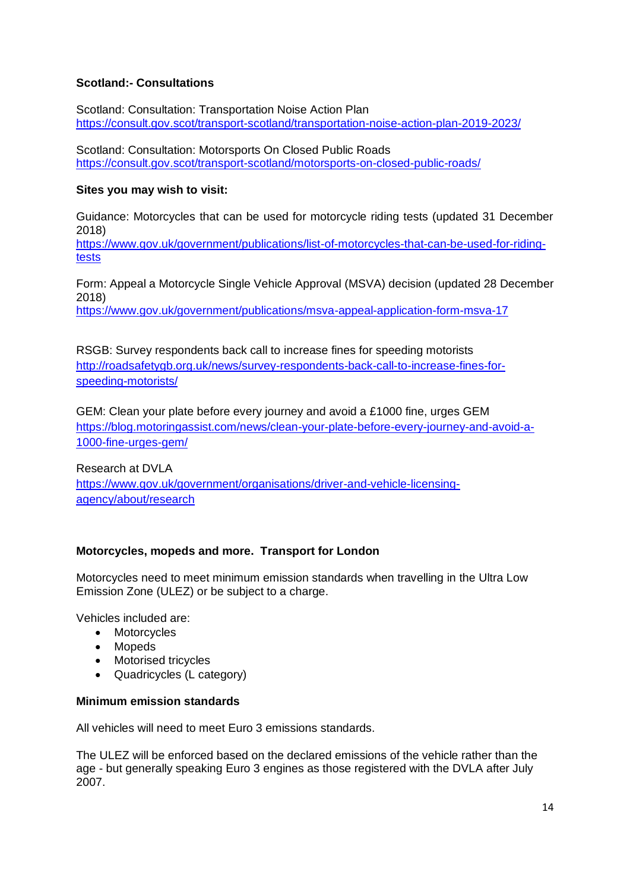#### **Scotland:- Consultations**

Scotland: Consultation: Transportation Noise Action Plan <https://consult.gov.scot/transport-scotland/transportation-noise-action-plan-2019-2023/>

Scotland: Consultation: Motorsports On Closed Public Roads <https://consult.gov.scot/transport-scotland/motorsports-on-closed-public-roads/>

#### **Sites you may wish to visit:**

Guidance: Motorcycles that can be used for motorcycle riding tests (updated 31 December 2018)

[https://www.gov.uk/government/publications/list-of-motorcycles-that-can-be-used-for-riding](https://www.gov.uk/government/publications/list-of-motorcycles-that-can-be-used-for-riding-tests)[tests](https://www.gov.uk/government/publications/list-of-motorcycles-that-can-be-used-for-riding-tests)

Form: Appeal a Motorcycle Single Vehicle Approval (MSVA) decision (updated 28 December 2018) <https://www.gov.uk/government/publications/msva-appeal-application-form-msva-17>

RSGB: Survey respondents back call to increase fines for speeding motorists [http://roadsafetygb.org.uk/news/survey-respondents-back-call-to-increase-fines-for-](http://roadsafetygb.org.uk/news/survey-respondents-back-call-to-increase-fines-for-speeding-motorists/)

[speeding-motorists/](http://roadsafetygb.org.uk/news/survey-respondents-back-call-to-increase-fines-for-speeding-motorists/)

GEM: Clean your plate before every journey and avoid a £1000 fine, urges GEM [https://blog.motoringassist.com/news/clean-your-plate-before-every-journey-and-avoid-a-](https://blog.motoringassist.com/news/clean-your-plate-before-every-journey-and-avoid-a-1000-fine-urges-gem/)[1000-fine-urges-gem/](https://blog.motoringassist.com/news/clean-your-plate-before-every-journey-and-avoid-a-1000-fine-urges-gem/)

Research at DVLA [https://www.gov.uk/government/organisations/driver-and-vehicle-licensing](https://www.gov.uk/government/organisations/driver-and-vehicle-licensing-agency/about/research)[agency/about/research](https://www.gov.uk/government/organisations/driver-and-vehicle-licensing-agency/about/research)

#### **Motorcycles, mopeds and more. Transport for London**

Motorcycles need to meet minimum emission standards when travelling in the Ultra Low Emission Zone (ULEZ) or be subject to a charge.

Vehicles included are:

- Motorcycles
- Mopeds
- Motorised tricycles
- Quadricycles (L category)

#### **Minimum emission standards**

All vehicles will need to meet Euro 3 emissions standards.

The ULEZ will be enforced based on the declared emissions of the vehicle rather than the age - but generally speaking Euro 3 engines as those registered with the DVLA after July 2007.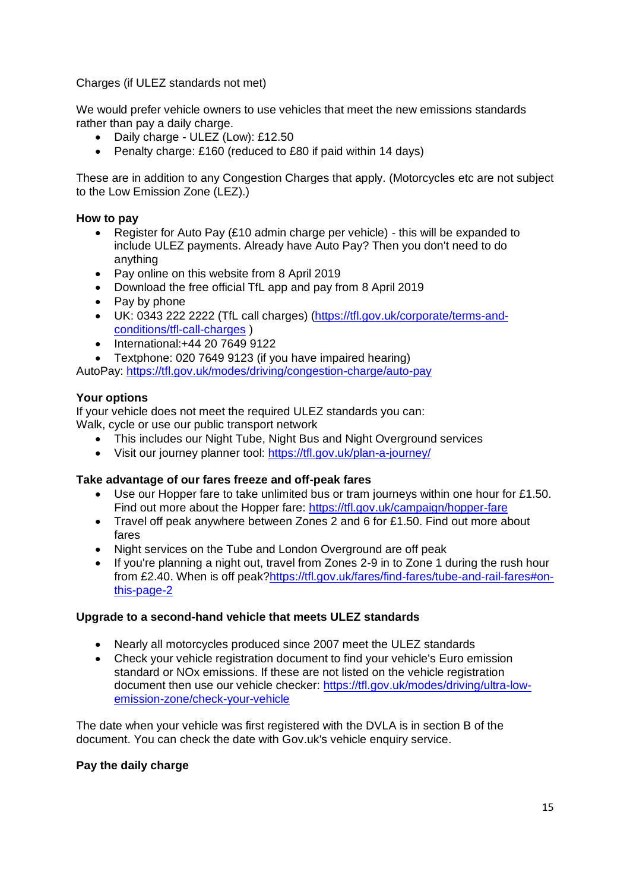Charges (if ULEZ standards not met)

We would prefer vehicle owners to use vehicles that meet the new emissions standards rather than pay a daily charge.

- Daily charge ULEZ (Low): £12.50
- Penalty charge: £160 (reduced to £80 if paid within 14 days)

These are in addition to any Congestion Charges that apply. (Motorcycles etc are not subject to the Low Emission Zone (LEZ).)

#### **How to pay**

- Register for Auto Pay  $(E10$  admin charge per vehicle) this will be expanded to include ULEZ payments. Already have Auto Pay? Then you don't need to do anything
- Pay online on this website from 8 April 2019
- Download the free official TfL app and pay from 8 April 2019
- Pay by phone
- UK: 0343 222 2222 (TfL call charges) [\(https://tfl.gov.uk/corporate/terms-and](https://tfl.gov.uk/corporate/terms-and-conditions/tfl-call-charges)[conditions/tfl-call-charges](https://tfl.gov.uk/corporate/terms-and-conditions/tfl-call-charges) )
- International: +44 20 7649 9122
- Textphone: 020 7649 9123 (if you have impaired hearing)

AutoPay:<https://tfl.gov.uk/modes/driving/congestion-charge/auto-pay>

#### **Your options**

If your vehicle does not meet the required ULEZ standards you can: Walk, cycle or use our public transport network

- This includes our Night Tube, Night Bus and Night Overground services
- Visit our journey planner tool:<https://tfl.gov.uk/plan-a-journey/>

#### **Take advantage of our fares freeze and off-peak fares**

- Use our Hopper fare to take unlimited bus or tram journeys within one hour for £1.50. Find out more about the Hopper fare:<https://tfl.gov.uk/campaign/hopper-fare>
- Travel off peak anywhere between Zones 2 and 6 for £1.50. Find out more about fares
- Night services on the Tube and London Overground are off peak
- If you're planning a night out, travel from Zones 2-9 in to Zone 1 during the rush hour from £2.40. When is off peak[?https://tfl.gov.uk/fares/find-fares/tube-and-rail-fares#on](https://tfl.gov.uk/fares/find-fares/tube-and-rail-fares#on-this-page-2)[this-page-2](https://tfl.gov.uk/fares/find-fares/tube-and-rail-fares#on-this-page-2)

#### **Upgrade to a second-hand vehicle that meets ULEZ standards**

- Nearly all motorcycles produced since 2007 meet the ULEZ standards
- Check your vehicle registration document to find your vehicle's Euro emission standard or NOx emissions. If these are not listed on the vehicle registration document then use our vehicle checker: [https://tfl.gov.uk/modes/driving/ultra-low](https://tfl.gov.uk/modes/driving/ultra-low-emission-zone/check-your-vehicle)[emission-zone/check-your-vehicle](https://tfl.gov.uk/modes/driving/ultra-low-emission-zone/check-your-vehicle)

The date when your vehicle was first registered with the DVLA is in section B of the document. You can check the date with Gov.uk's vehicle enquiry service.

#### **Pay the daily charge**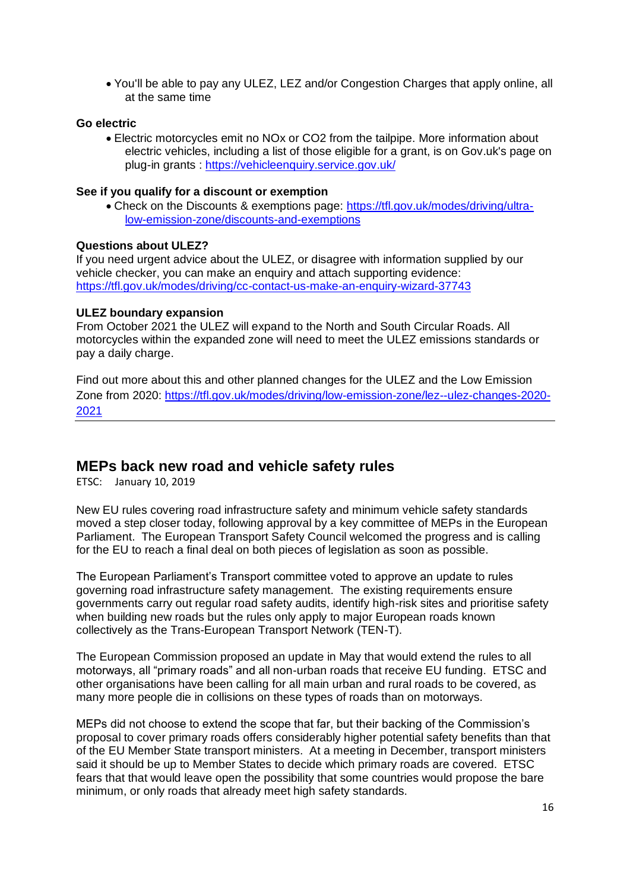You'll be able to pay any ULEZ, LEZ and/or Congestion Charges that apply online, all at the same time

#### **Go electric**

 Electric motorcycles emit no NOx or CO2 from the tailpipe. More information about electric vehicles, including a list of those eligible for a grant, is on Gov.uk's page on plug-in grants :<https://vehicleenquiry.service.gov.uk/>

#### **See if you qualify for a discount or exemption**

 Check on the Discounts & exemptions page: [https://tfl.gov.uk/modes/driving/ultra](https://tfl.gov.uk/modes/driving/ultra-low-emission-zone/discounts-and-exemptions)[low-emission-zone/discounts-and-exemptions](https://tfl.gov.uk/modes/driving/ultra-low-emission-zone/discounts-and-exemptions)

#### **Questions about ULEZ?**

If you need urgent advice about the ULEZ, or disagree with information supplied by our vehicle checker, you can make an enquiry and attach supporting evidence: <https://tfl.gov.uk/modes/driving/cc-contact-us-make-an-enquiry-wizard-37743>

#### **ULEZ boundary expansion**

From October 2021 the ULEZ will expand to the North and South Circular Roads. All motorcycles within the expanded zone will need to meet the ULEZ emissions standards or pay a daily charge.

Find out more about this and other planned changes for the ULEZ and the Low Emission Zone from 2020: [https://tfl.gov.uk/modes/driving/low-emission-zone/lez--ulez-changes-2020-](https://tfl.gov.uk/modes/driving/low-emission-zone/lez--ulez-changes-2020-2021) [2021](https://tfl.gov.uk/modes/driving/low-emission-zone/lez--ulez-changes-2020-2021)

#### **MEPs back new road and vehicle safety rules**

ETSC: January 10, 2019

New EU rules covering road infrastructure safety and minimum vehicle safety standards moved a step closer today, following approval by a key committee of MEPs in the European Parliament. The European Transport Safety Council welcomed the progress and is calling for the EU to reach a final deal on both pieces of legislation as soon as possible.

The European Parliament"s Transport committee voted to approve an update to rules governing road infrastructure safety management. The existing requirements ensure governments carry out regular road safety audits, identify high-risk sites and prioritise safety when building new roads but the rules only apply to major European roads known collectively as the Trans-European Transport Network (TEN-T).

The European Commission proposed an update in May that would extend the rules to all motorways, all "primary roads" and all non-urban roads that receive EU funding. ETSC and other organisations have been calling for all main urban and rural roads to be covered, as many more people die in collisions on these types of roads than on motorways.

MEPs did not choose to extend the scope that far, but their backing of the Commission"s proposal to cover primary roads offers considerably higher potential safety benefits than that of the EU Member State transport ministers. At a meeting in December, transport ministers said it should be up to Member States to decide which primary roads are covered. ETSC fears that that would leave open the possibility that some countries would propose the bare minimum, or only roads that already meet high safety standards.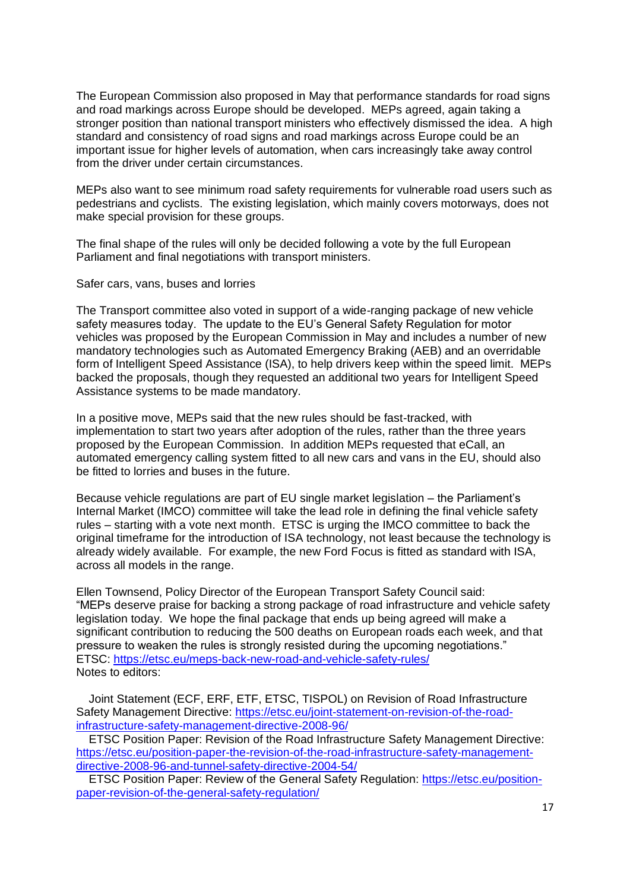The European Commission also proposed in May that performance standards for road signs and road markings across Europe should be developed. MEPs agreed, again taking a stronger position than national transport ministers who effectively dismissed the idea. A high standard and consistency of road signs and road markings across Europe could be an important issue for higher levels of automation, when cars increasingly take away control from the driver under certain circumstances.

MEPs also want to see minimum road safety requirements for vulnerable road users such as pedestrians and cyclists. The existing legislation, which mainly covers motorways, does not make special provision for these groups.

The final shape of the rules will only be decided following a vote by the full European Parliament and final negotiations with transport ministers.

Safer cars, vans, buses and lorries

The Transport committee also voted in support of a wide-ranging package of new vehicle safety measures today. The update to the EU"s General Safety Regulation for motor vehicles was proposed by the European Commission in May and includes a number of new mandatory technologies such as Automated Emergency Braking (AEB) and an overridable form of Intelligent Speed Assistance (ISA), to help drivers keep within the speed limit. MEPs backed the proposals, though they requested an additional two years for Intelligent Speed Assistance systems to be made mandatory.

In a positive move, MEPs said that the new rules should be fast-tracked, with implementation to start two years after adoption of the rules, rather than the three years proposed by the European Commission. In addition MEPs requested that eCall, an automated emergency calling system fitted to all new cars and vans in the EU, should also be fitted to lorries and buses in the future.

Because vehicle regulations are part of EU single market legislation – the Parliament"s Internal Market (IMCO) committee will take the lead role in defining the final vehicle safety rules – starting with a vote next month. ETSC is urging the IMCO committee to back the original timeframe for the introduction of ISA technology, not least because the technology is already widely available. For example, the new Ford Focus is fitted as standard with ISA, across all models in the range.

Ellen Townsend, Policy Director of the European Transport Safety Council said: "MEPs deserve praise for backing a strong package of road infrastructure and vehicle safety legislation today. We hope the final package that ends up being agreed will make a significant contribution to reducing the 500 deaths on European roads each week, and that pressure to weaken the rules is strongly resisted during the upcoming negotiations." ETSC:<https://etsc.eu/meps-back-new-road-and-vehicle-safety-rules/> Notes to editors:

 Joint Statement (ECF, ERF, ETF, ETSC, TISPOL) on Revision of Road Infrastructure Safety Management Directive: [https://etsc.eu/joint-statement-on-revision-of-the-road](https://etsc.eu/joint-statement-on-revision-of-the-road-infrastructure-safety-management-directive-2008-96/)[infrastructure-safety-management-directive-2008-96/](https://etsc.eu/joint-statement-on-revision-of-the-road-infrastructure-safety-management-directive-2008-96/)

 ETSC Position Paper: Revision of the Road Infrastructure Safety Management Directive: [https://etsc.eu/position-paper-the-revision-of-the-road-infrastructure-safety-management](https://etsc.eu/position-paper-the-revision-of-the-road-infrastructure-safety-management-directive-2008-96-and-tunnel-safety-directive-2004-54/)[directive-2008-96-and-tunnel-safety-directive-2004-54/](https://etsc.eu/position-paper-the-revision-of-the-road-infrastructure-safety-management-directive-2008-96-and-tunnel-safety-directive-2004-54/)

 ETSC Position Paper: Review of the General Safety Regulation: [https://etsc.eu/position](https://etsc.eu/position-paper-revision-of-the-general-safety-regulation/)[paper-revision-of-the-general-safety-regulation/](https://etsc.eu/position-paper-revision-of-the-general-safety-regulation/)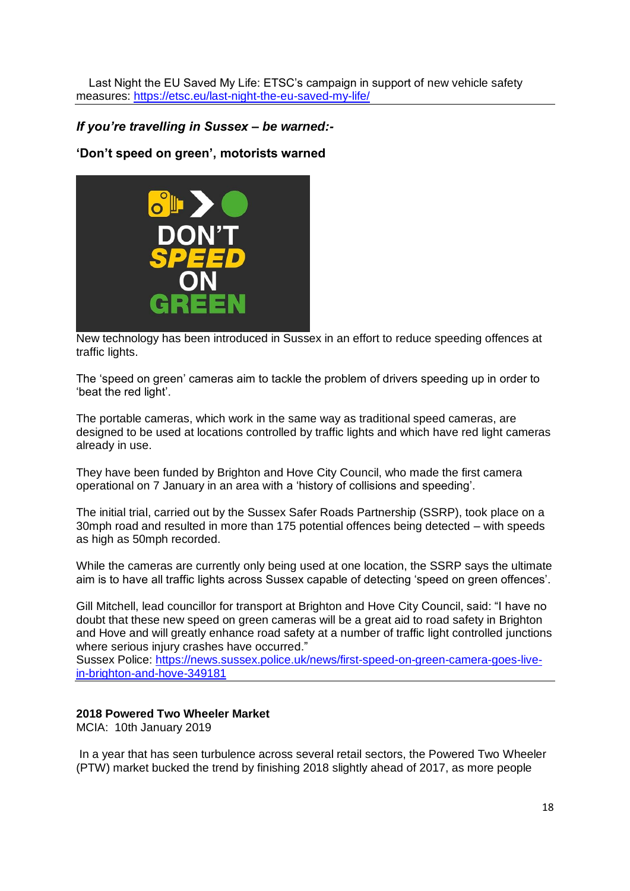Last Night the EU Saved My Life: ETSC"s campaign in support of new vehicle safety measures:<https://etsc.eu/last-night-the-eu-saved-my-life/>

#### *If you're travelling in Sussex – be warned:-*

**'Don't speed on green', motorists warned**



New technology has been introduced in Sussex in an effort to reduce speeding offences at traffic lights.

The "speed on green" cameras aim to tackle the problem of drivers speeding up in order to "beat the red light".

The portable cameras, which work in the same way as traditional speed cameras, are designed to be used at locations controlled by traffic lights and which have red light cameras already in use.

They have been funded by Brighton and Hove City Council, who made the first camera operational on 7 January in an area with a "history of collisions and speeding".

The initial trial, carried out by the Sussex Safer Roads Partnership (SSRP), took place on a 30mph road and resulted in more than 175 potential offences being detected – with speeds as high as 50mph recorded.

While the cameras are currently only being used at one location, the SSRP says the ultimate aim is to have all traffic lights across Sussex capable of detecting "speed on green offences".

Gill Mitchell, lead councillor for transport at Brighton and Hove City Council, said: "I have no doubt that these new speed on green cameras will be a great aid to road safety in Brighton and Hove and will greatly enhance road safety at a number of traffic light controlled junctions where serious injury crashes have occurred."

Sussex Police: [https://news.sussex.police.uk/news/first-speed-on-green-camera-goes-live](https://news.sussex.police.uk/news/first-speed-on-green-camera-goes-live-in-brighton-and-hove-349181)[in-brighton-and-hove-349181](https://news.sussex.police.uk/news/first-speed-on-green-camera-goes-live-in-brighton-and-hove-349181)

#### **2018 Powered Two Wheeler Market**

MCIA: 10th January 2019

In a year that has seen turbulence across several retail sectors, the Powered Two Wheeler (PTW) market bucked the trend by finishing 2018 slightly ahead of 2017, as more people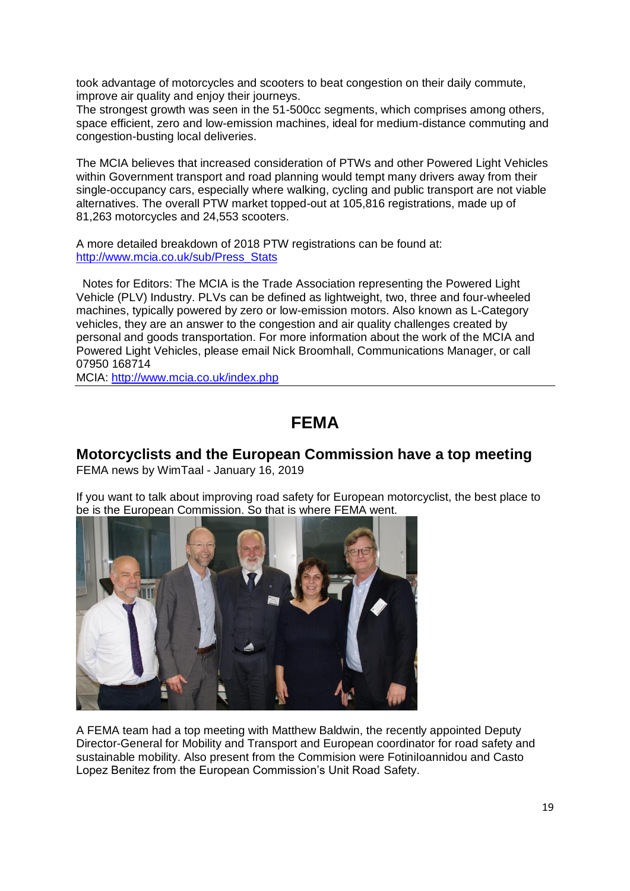took advantage of motorcycles and scooters to beat congestion on their daily commute, improve air quality and enjoy their journeys.

The strongest growth was seen in the 51-500cc segments, which comprises among others, space efficient, zero and low-emission machines, ideal for medium-distance commuting and congestion-busting local deliveries.

The MCIA believes that increased consideration of PTWs and other Powered Light Vehicles within Government transport and road planning would tempt many drivers away from their single-occupancy cars, especially where walking, cycling and public transport are not viable alternatives. The overall PTW market topped-out at 105,816 registrations, made up of 81,263 motorcycles and 24,553 scooters.

A more detailed breakdown of 2018 PTW registrations can be found at: [http://www.mcia.co.uk/sub/Press\\_Stats](http://www.mcia.co.uk/sub/Press_Stats)

 Notes for Editors: The MCIA is the Trade Association representing the Powered Light Vehicle (PLV) Industry. PLVs can be defined as lightweight, two, three and four-wheeled machines, typically powered by zero or low-emission motors. Also known as L-Category vehicles, they are an answer to the congestion and air quality challenges created by personal and goods transportation. For more information about the work of the MCIA and Powered Light Vehicles, please email Nick Broomhall, Communications Manager, or call 07950 168714

MCIA:<http://www.mcia.co.uk/index.php>

## **FEMA**

## **Motorcyclists and the European Commission have a top meeting**

FEMA news by WimTaal - January 16, 2019

If you want to talk about improving road safety for European motorcyclist, the best place to be is the European Commission. So that is where FEMA went.



A FEMA team had a top meeting with Matthew Baldwin, the recently appointed Deputy Director-General for Mobility and Transport and European coordinator for road safety and sustainable mobility. Also present from the Commision were Fotiniloannidou and Casto Lopez Benitez from the European Commission"s Unit Road Safety.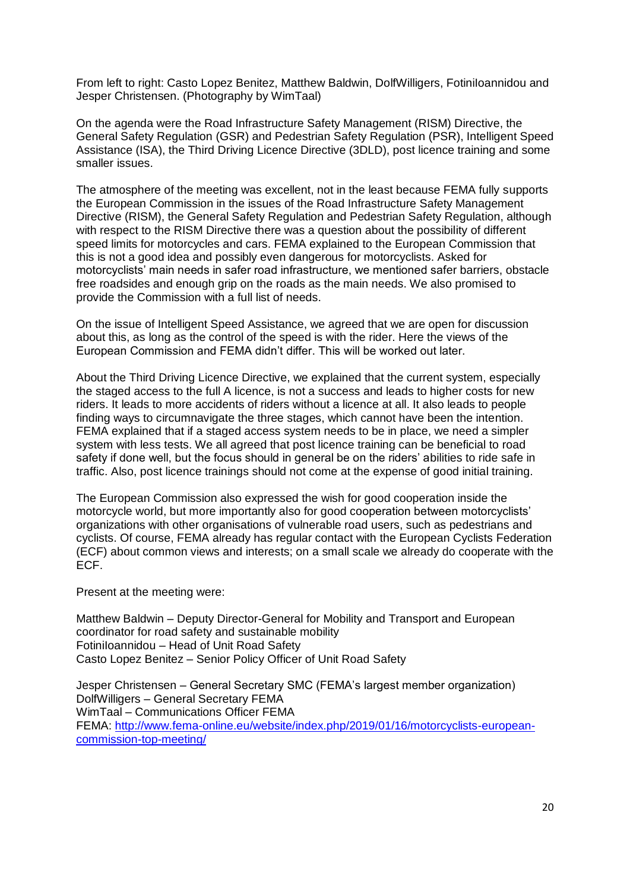From left to right: Casto Lopez Benitez, Matthew Baldwin, DolfWilligers, Fotiniloannidou and Jesper Christensen. (Photography by WimTaal)

On the agenda were the Road Infrastructure Safety Management (RISM) Directive, the General Safety Regulation (GSR) and Pedestrian Safety Regulation (PSR), Intelligent Speed Assistance (ISA), the Third Driving Licence Directive (3DLD), post licence training and some smaller issues.

The atmosphere of the meeting was excellent, not in the least because FEMA fully supports the European Commission in the issues of the Road Infrastructure Safety Management Directive (RISM), the General Safety Regulation and Pedestrian Safety Regulation, although with respect to the RISM Directive there was a question about the possibility of different speed limits for motorcycles and cars. FEMA explained to the European Commission that this is not a good idea and possibly even dangerous for motorcyclists. Asked for motorcyclists" main needs in safer road infrastructure, we mentioned safer barriers, obstacle free roadsides and enough grip on the roads as the main needs. We also promised to provide the Commission with a full list of needs.

On the issue of Intelligent Speed Assistance, we agreed that we are open for discussion about this, as long as the control of the speed is with the rider. Here the views of the European Commission and FEMA didn"t differ. This will be worked out later.

About the Third Driving Licence Directive, we explained that the current system, especially the staged access to the full A licence, is not a success and leads to higher costs for new riders. It leads to more accidents of riders without a licence at all. It also leads to people finding ways to circumnavigate the three stages, which cannot have been the intention. FEMA explained that if a staged access system needs to be in place, we need a simpler system with less tests. We all agreed that post licence training can be beneficial to road safety if done well, but the focus should in general be on the riders" abilities to ride safe in traffic. Also, post licence trainings should not come at the expense of good initial training.

The European Commission also expressed the wish for good cooperation inside the motorcycle world, but more importantly also for good cooperation between motorcyclists" organizations with other organisations of vulnerable road users, such as pedestrians and cyclists. Of course, FEMA already has regular contact with the European Cyclists Federation (ECF) about common views and interests; on a small scale we already do cooperate with the ECF.

Present at the meeting were:

Matthew Baldwin – Deputy Director-General for Mobility and Transport and European coordinator for road safety and sustainable mobility FotiniIoannidou – Head of Unit Road Safety Casto Lopez Benitez – Senior Policy Officer of Unit Road Safety

Jesper Christensen – General Secretary SMC (FEMA"s largest member organization) DolfWilligers – General Secretary FEMA WimTaal – Communications Officer FEMA FEMA: [http://www.fema-online.eu/website/index.php/2019/01/16/motorcyclists-european](http://www.fema-online.eu/website/index.php/2019/01/16/motorcyclists-european-commission-top-meeting/)[commission-top-meeting/](http://www.fema-online.eu/website/index.php/2019/01/16/motorcyclists-european-commission-top-meeting/)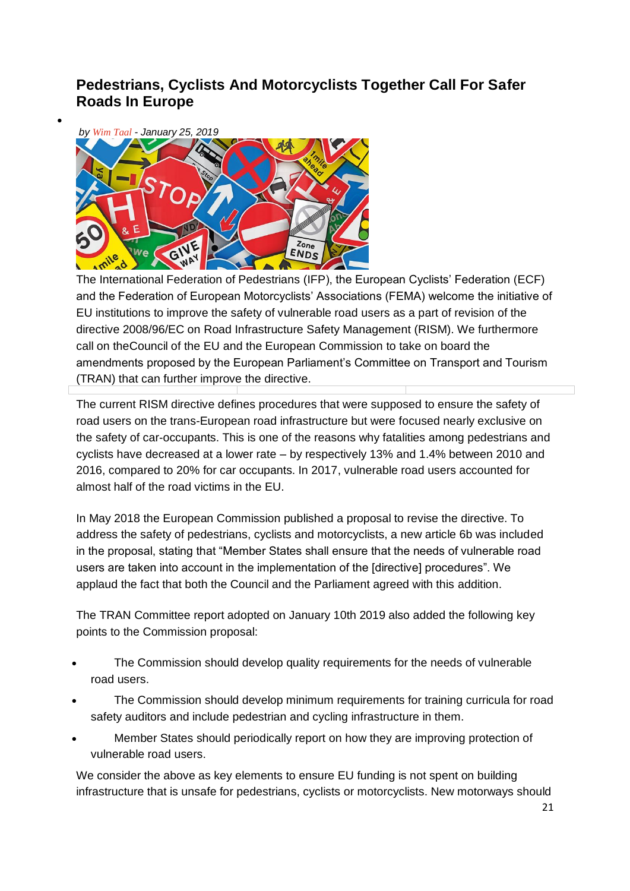## **Pedestrians, Cyclists And Motorcyclists Together Call For Safer Roads In Europe**



 $\bullet$  and  $\bullet$  and  $\bullet$  and  $\bullet$ 

The International Federation of Pedestrians [\(IFP\)](http://www.pedestrians-int.org/en/), the European Cyclists" Federation [\(ECF\)](https://ecf.com/) and the Federation of European Motorcyclists" Associations (FEMA) welcome the initiative of EU institutions to improve the safety of vulnerable road users as a part of revision of the directive 2008/96/EC on [Road Infrastructure Safety Management](https://eur-lex.europa.eu/legal-content/EN/ALL/?uri=CELEX%3A32008L0096) (RISM). We furthermore call on th[eCouncil of the EU](https://europa.eu/european-union/about-eu/institutions-bodies/council-eu_en) and the [European Commission](https://ec.europa.eu/commission/index_en) to take on board the amendments proposed by the European Parliament"s Committee on Transport and Tourism [\(TRAN\)](http://www.europarl.europa.eu/committees/en/tran/home.html) that can further improve the directive.

The current RISM directive defines procedures that were supposed to ensure the safety of road users on the trans-European road infrastructure but were focused nearly exclusive on the safety of car-occupants. This is one of the reasons why fatalities among pedestrians and cyclists have decreased at a lower rate – by respectively 13% and 1.4% between 2010 and 2016, compared to 20% for car occupants. In 2017, vulnerable road users accounted for almost half of the road victims in the EU.

In May 2018 the European Commission published a proposal to revise the directive. To address the safety of pedestrians, cyclists and motorcyclists, a new article 6b was included in the proposal, stating that "Member States shall ensure that the needs of vulnerable road users are taken into account in the implementation of the [directive] procedures". We applaud the fact that both the Council and the Parliament agreed with this addition.

The TRAN Committee report adopted on January 10th 2019 also added the following key points to the Commission proposal:

- The Commission should develop quality requirements for the needs of vulnerable road users.
- The Commission should develop minimum requirements for training curricula for road safety auditors and include pedestrian and cycling infrastructure in them.
- Member States should periodically report on how they are improving protection of vulnerable road users.

We consider the above as key elements to ensure EU funding is not spent on building infrastructure that is unsafe for pedestrians, cyclists or motorcyclists. New motorways should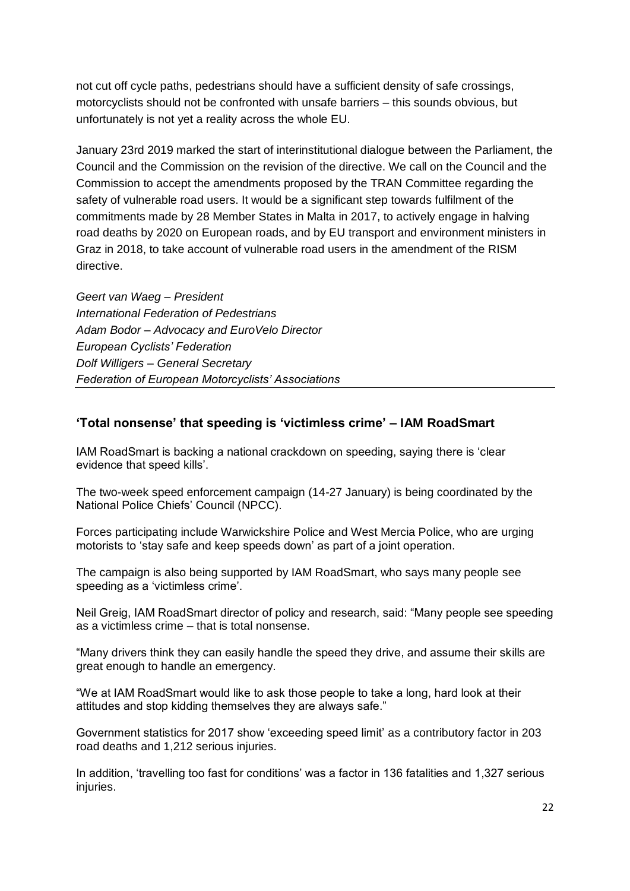not cut off cycle paths, pedestrians should have a sufficient density of safe crossings, motorcyclists should not be confronted with unsafe barriers – this sounds obvious, but unfortunately is not yet a reality across the whole EU.

January 23rd 2019 marked the start of interinstitutional dialogue between the Parliament, the Council and the Commission on the revision of the directive. We call on the Council and the Commission to accept the amendments proposed by the TRAN Committee regarding the safety of vulnerable road users. It would be a significant step towards fulfilment of the commitments made by 28 Member States in Malta in 2017, to actively engage in halving road deaths by 2020 on European roads, and by EU transport and environment ministers in Graz in 2018, to take account of vulnerable road users in the amendment of the RISM directive.

*Geert van Waeg – President International Federation of Pedestrians Adam Bodor – Advocacy and EuroVelo Director European Cyclists' Federation Dolf Willigers – General Secretary Federation of European Motorcyclists' Associations*

#### **'Total nonsense' that speeding is 'victimless crime' – IAM RoadSmart**

IAM RoadSmart is backing a national crackdown on speeding, saying there is "clear evidence that speed kills".

The two-week speed enforcement campaign (14-27 January) is being coordinated by the National Police Chiefs" Council (NPCC).

Forces participating include Warwickshire Police and West Mercia Police, who are urging motorists to "stay safe and keep speeds down" as part of a joint operation.

The campaign is also being supported by IAM RoadSmart, who says many people see speeding as a 'victimless crime'.

Neil Greig, IAM RoadSmart director of policy and research, said: "Many people see speeding as a victimless crime – that is total nonsense.

"Many drivers think they can easily handle the speed they drive, and assume their skills are great enough to handle an emergency.

"We at IAM RoadSmart would like to ask those people to take a long, hard look at their attitudes and stop kidding themselves they are always safe."

Government statistics for 2017 show "exceeding speed limit" as a contributory factor in 203 road deaths and 1,212 serious injuries.

In addition, 'travelling too fast for conditions' was a factor in 136 fatalities and 1,327 serious injuries.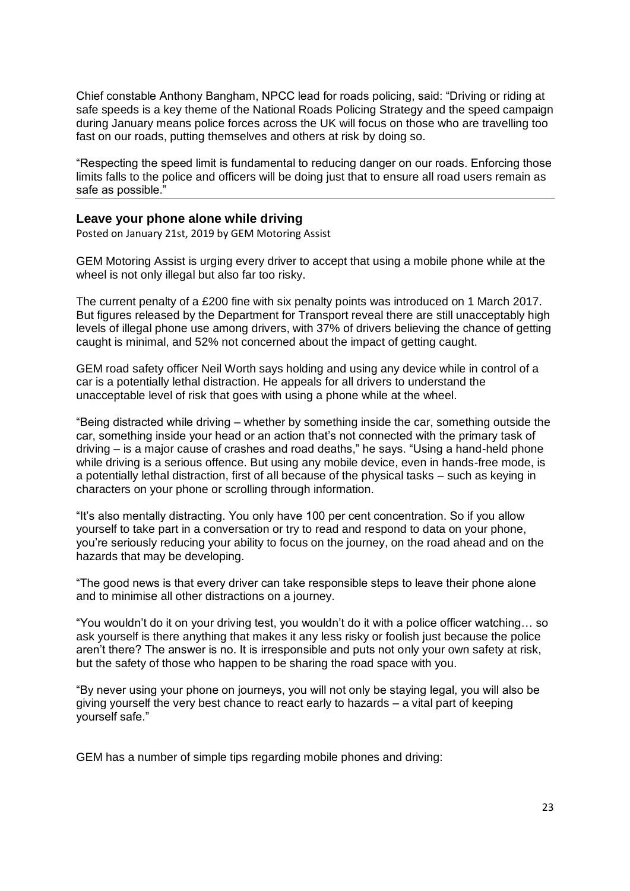Chief constable Anthony Bangham, NPCC lead for roads policing, said: "Driving or riding at safe speeds is a key theme of the National Roads Policing Strategy and the speed campaign during January means police forces across the UK will focus on those who are travelling too fast on our roads, putting themselves and others at risk by doing so.

"Respecting the speed limit is fundamental to reducing danger on our roads. Enforcing those limits falls to the police and officers will be doing just that to ensure all road users remain as safe as possible."

#### **Leave your phone alone while driving**

Posted on January 21st, 2019 by GEM Motoring Assist

GEM Motoring Assist is urging every driver to accept that using a mobile phone while at the wheel is not only illegal but also far too risky.

The current penalty of a £200 fine with six penalty points was introduced on 1 March 2017. But figures released by the Department for Transport reveal there are still unacceptably high levels of illegal phone use among drivers, with 37% of drivers believing the chance of getting caught is minimal, and 52% not concerned about the impact of getting caught.

GEM road safety officer Neil Worth says holding and using any device while in control of a car is a potentially lethal distraction. He appeals for all drivers to understand the unacceptable level of risk that goes with using a phone while at the wheel.

"Being distracted while driving – whether by something inside the car, something outside the car, something inside your head or an action that"s not connected with the primary task of driving – is a major cause of crashes and road deaths," he says. "Using a hand-held phone while driving is a serious offence. But using any mobile device, even in hands-free mode, is a potentially lethal distraction, first of all because of the physical tasks – such as keying in characters on your phone or scrolling through information.

"It"s also mentally distracting. You only have 100 per cent concentration. So if you allow yourself to take part in a conversation or try to read and respond to data on your phone, you"re seriously reducing your ability to focus on the journey, on the road ahead and on the hazards that may be developing.

"The good news is that every driver can take responsible steps to leave their phone alone and to minimise all other distractions on a journey.

"You wouldn"t do it on your driving test, you wouldn"t do it with a police officer watching… so ask yourself is there anything that makes it any less risky or foolish just because the police aren"t there? The answer is no. It is irresponsible and puts not only your own safety at risk, but the safety of those who happen to be sharing the road space with you.

"By never using your phone on journeys, you will not only be staying legal, you will also be giving yourself the very best chance to react early to hazards – a vital part of keeping yourself safe."

GEM has a number of simple tips regarding mobile phones and driving: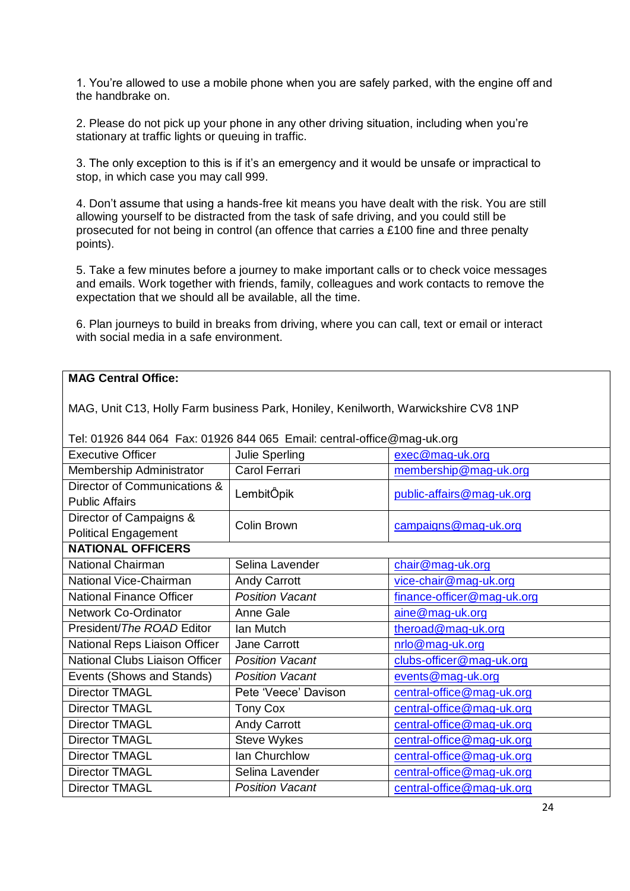1. You"re allowed to use a mobile phone when you are safely parked, with the engine off and the handbrake on.

2. Please do not pick up your phone in any other driving situation, including when you"re stationary at traffic lights or queuing in traffic.

3. The only exception to this is if it"s an emergency and it would be unsafe or impractical to stop, in which case you may call 999.

4. Don"t assume that using a hands-free kit means you have dealt with the risk. You are still allowing yourself to be distracted from the task of safe driving, and you could still be prosecuted for not being in control (an offence that carries a £100 fine and three penalty points).

5. Take a few minutes before a journey to make important calls or to check voice messages and emails. Work together with friends, family, colleagues and work contacts to remove the expectation that we should all be available, all the time.

6. Plan journeys to build in breaks from driving, where you can call, text or email or interact with social media in a safe environment.

#### **MAG Central Office:**

MAG, Unit C13, Holly Farm business Park, Honiley, Kenilworth, Warwickshire CV8 1NP

| Tel: 01926 844 064 Fax: 01926 844 065 Email: central-office@maq-uk.org |                        |                            |  |
|------------------------------------------------------------------------|------------------------|----------------------------|--|
| <b>Executive Officer</b>                                               | Julie Sperling         | exec@mag-uk.org            |  |
| Membership Administrator                                               | Carol Ferrari          | membership@mag-uk.org      |  |
| Director of Communications &                                           | LembitÖpik             | public-affairs@mag-uk.org  |  |
| <b>Public Affairs</b>                                                  |                        |                            |  |
| Director of Campaigns &                                                | Colin Brown            | campaigns@mag-uk.org       |  |
| <b>Political Engagement</b>                                            |                        |                            |  |
| <b>NATIONAL OFFICERS</b>                                               |                        |                            |  |
| National Chairman                                                      | Selina Lavender        | chair@mag-uk.org           |  |
| National Vice-Chairman                                                 | <b>Andy Carrott</b>    | vice-chair@mag-uk.org      |  |
| <b>National Finance Officer</b>                                        | <b>Position Vacant</b> | finance-officer@mag-uk.org |  |
| <b>Network Co-Ordinator</b>                                            | Anne Gale              | aine@mag-uk.org            |  |
| President/The ROAD Editor                                              | lan Mutch              | theroad@mag-uk.org         |  |
| National Reps Liaison Officer                                          | Jane Carrott           | nrlo@mag-uk.org            |  |
| <b>National Clubs Liaison Officer</b>                                  | <b>Position Vacant</b> | clubs-officer@mag-uk.org   |  |
| Events (Shows and Stands)                                              | <b>Position Vacant</b> | events@mag-uk.org          |  |
| Director TMAGL                                                         | Pete 'Veece' Davison   | central-office@mag-uk.org  |  |
| <b>Director TMAGL</b>                                                  | <b>Tony Cox</b>        | central-office@mag-uk.org  |  |
| <b>Director TMAGL</b>                                                  | <b>Andy Carrott</b>    | central-office@mag-uk.org  |  |
| Director TMAGL                                                         | <b>Steve Wykes</b>     | central-office@mag-uk.org  |  |
| Director TMAGL                                                         | lan Churchlow          | central-office@mag-uk.org  |  |
| <b>Director TMAGL</b>                                                  | Selina Lavender        | central-office@mag-uk.org  |  |
| <b>Director TMAGL</b>                                                  | <b>Position Vacant</b> | central-office@mag-uk.org  |  |

 $\Omega$ 1026 844 064 Fax: 01026 844 065 Email: central-office@